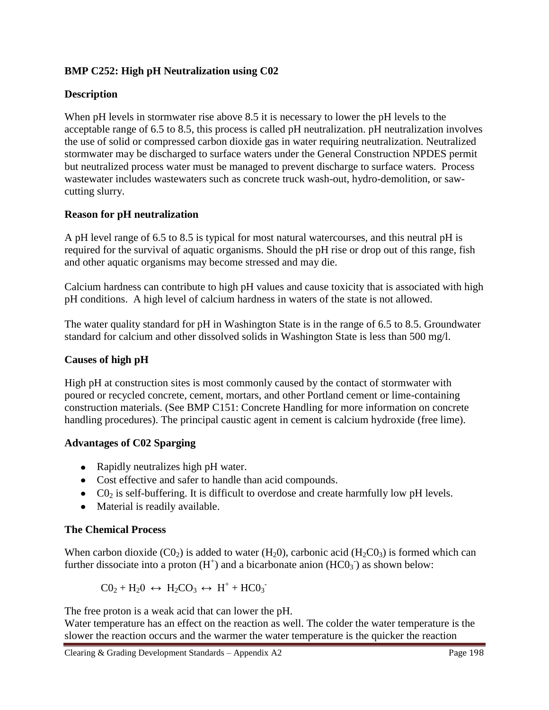# **BMP C252: High pH Neutralization using C02**

# **Description**

When pH levels in stormwater rise above 8.5 it is necessary to lower the pH levels to the acceptable range of 6.5 to 8.5, this process is called pH neutralization. pH neutralization involves the use of solid or compressed carbon dioxide gas in water requiring neutralization. Neutralized stormwater may be discharged to surface waters under the General Construction NPDES permit but neutralized process water must be managed to prevent discharge to surface waters. Process wastewater includes wastewaters such as concrete truck wash-out, hydro-demolition, or sawcutting slurry.

## **Reason for pH neutralization**

A pH level range of 6.5 to 8.5 is typical for most natural watercourses, and this neutral pH is required for the survival of aquatic organisms. Should the pH rise or drop out of this range, fish and other aquatic organisms may become stressed and may die.

Calcium hardness can contribute to high pH values and cause toxicity that is associated with high pH conditions. A high level of calcium hardness in waters of the state is not allowed.

The water quality standard for pH in Washington State is in the range of 6.5 to 8.5. Groundwater standard for calcium and other dissolved solids in Washington State is less than 500 mg/l.

## **Causes of high pH**

High pH at construction sites is most commonly caused by the contact of stormwater with poured or recycled concrete, cement, mortars, and other Portland cement or lime-containing construction materials. (See BMP C151: Concrete Handling for more information on concrete handling procedures). The principal caustic agent in cement is calcium hydroxide (free lime).

#### **Advantages of C02 Sparging**

- Rapidly neutralizes high pH water.
- Cost effective and safer to handle than acid compounds.
- $\bullet$  CO<sub>2</sub> is self-buffering. It is difficult to overdose and create harmfully low pH levels.
- Material is readily available.

# **The Chemical Process**

When carbon dioxide  $(C0_2)$  is added to water  $(H_20)$ , carbonic acid  $(H_2C0_3)$  is formed which can further dissociate into a proton  $(H<sup>+</sup>)$  and a bicarbonate anion  $(HCO<sub>3</sub>$ <sup>-</sup>) as shown below:

$$
CO_2 + H_2O \leftrightarrow H_2CO_3 \leftrightarrow H^+ + HCO_3^-
$$

The free proton is a weak acid that can lower the pH.

Water temperature has an effect on the reaction as well. The colder the water temperature is the slower the reaction occurs and the warmer the water temperature is the quicker the reaction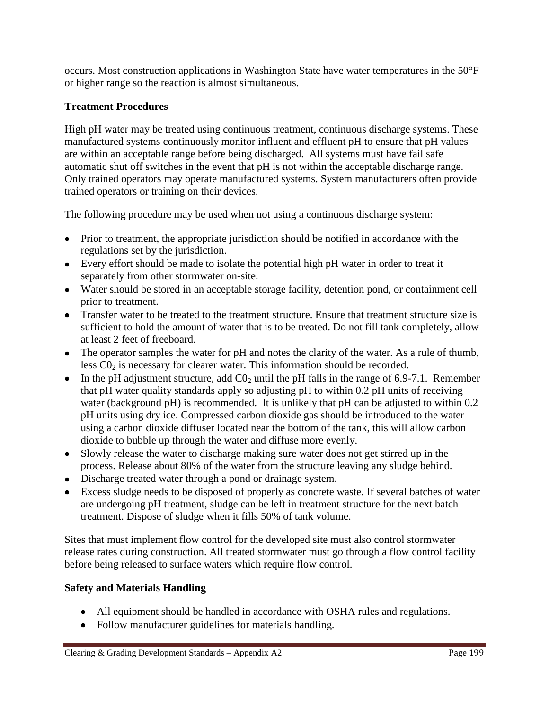occurs. Most construction applications in Washington State have water temperatures in the 50°F or higher range so the reaction is almost simultaneous.

# **Treatment Procedures**

High pH water may be treated using continuous treatment, continuous discharge systems. These manufactured systems continuously monitor influent and effluent pH to ensure that pH values are within an acceptable range before being discharged. All systems must have fail safe automatic shut off switches in the event that pH is not within the acceptable discharge range. Only trained operators may operate manufactured systems. System manufacturers often provide trained operators or training on their devices.

The following procedure may be used when not using a continuous discharge system:

- Prior to treatment, the appropriate jurisdiction should be notified in accordance with the regulations set by the jurisdiction.
- Every effort should be made to isolate the potential high pH water in order to treat it separately from other stormwater on-site.
- Water should be stored in an acceptable storage facility, detention pond, or containment cell prior to treatment.
- Transfer water to be treated to the treatment structure. Ensure that treatment structure size is sufficient to hold the amount of water that is to be treated. Do not fill tank completely, allow at least 2 feet of freeboard.
- The operator samples the water for pH and notes the clarity of the water. As a rule of thumb, less  $CO<sub>2</sub>$  is necessary for clearer water. This information should be recorded.
- In the pH adjustment structure, add  $CO<sub>2</sub>$  until the pH falls in the range of 6.9-7.1. Remember that pH water quality standards apply so adjusting pH to within 0.2 pH units of receiving water (background pH) is recommended. It is unlikely that pH can be adjusted to within 0.2 pH units using dry ice. Compressed carbon dioxide gas should be introduced to the water using a carbon dioxide diffuser located near the bottom of the tank, this will allow carbon dioxide to bubble up through the water and diffuse more evenly.
- Slowly release the water to discharge making sure water does not get stirred up in the process. Release about 80% of the water from the structure leaving any sludge behind.
- Discharge treated water through a pond or drainage system.
- Excess sludge needs to be disposed of properly as concrete waste. If several batches of water are undergoing pH treatment, sludge can be left in treatment structure for the next batch treatment. Dispose of sludge when it fills 50% of tank volume.

Sites that must implement flow control for the developed site must also control stormwater release rates during construction. All treated stormwater must go through a flow control facility before being released to surface waters which require flow control.

# **Safety and Materials Handling**

- All equipment should be handled in accordance with OSHA rules and regulations.
- Follow manufacturer guidelines for materials handling.